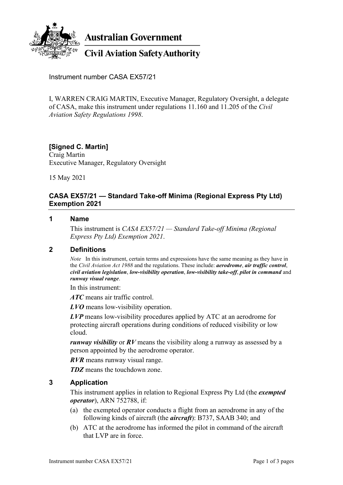

**Australian Government** 

## **Civil Aviation Safety Authority**

Instrument number CASA EX57/21

I, WARREN CRAIG MARTIN, Executive Manager, Regulatory Oversight, a delegate of CASA, make this instrument under regulations 11.160 and 11.205 of the *Civil Aviation Safety Regulations 1998*.

# **[Signed C. Martin]**

Craig Martin Executive Manager, Regulatory Oversight

15 May 2021

### **CASA EX57/21 — Standard Take-off Minima (Regional Express Pty Ltd) Exemption 2021**

#### **1 Name**

This instrument is *CASA EX57/21 — Standard Take-off Minima (Regional Express Pty Ltd) Exemption 2021*.

#### **2 Definitions**

*Note* In this instrument, certain terms and expressions have the same meaning as they have in the *Civil Aviation Act 1988* and the regulations. These include: *aerodrome*, *air traffic control*, *civil aviation legislation*, *low-visibility operation*, *low-visibility take-off*, *pilot in command* and *runway visual range*.

In this instrument:

*ATC* means air traffic control.

*LVO* means low-visibility operation.

*LVP* means low-visibility procedures applied by ATC at an aerodrome for protecting aircraft operations during conditions of reduced visibility or low cloud.

*runway visibility* or *RV* means the visibility along a runway as assessed by a person appointed by the aerodrome operator.

*RVR* means runway visual range.

*TDZ* means the touchdown zone.

#### **3 Application**

This instrument applies in relation to Regional Express Pty Ltd (the *exempted operator*), ARN 752788, if:

- (a) the exempted operator conducts a flight from an aerodrome in any of the following kinds of aircraft (the *aircraft*): B737, SAAB 340; and
- (b) ATC at the aerodrome has informed the pilot in command of the aircraft that LVP are in force.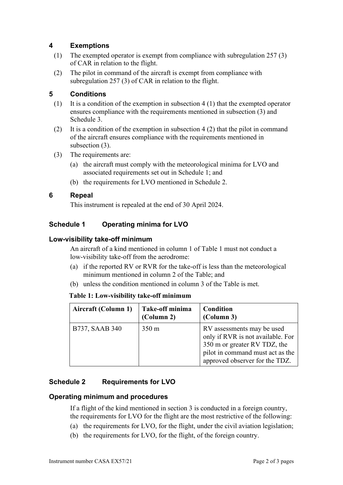## **4 Exemptions**

- (1) The exempted operator is exempt from compliance with subregulation 257 (3) of CAR in relation to the flight.
- (2) The pilot in command of the aircraft is exempt from compliance with subregulation 257 (3) of CAR in relation to the flight.

## **5 Conditions**

- (1) It is a condition of the exemption in subsection 4 (1) that the exempted operator ensures compliance with the requirements mentioned in subsection (3) and Schedule 3.
- (2) It is a condition of the exemption in subsection  $4(2)$  that the pilot in command of the aircraft ensures compliance with the requirements mentioned in subsection (3).
- (3) The requirements are:
	- (a) the aircraft must comply with the meteorological minima for LVO and associated requirements set out in Schedule 1; and
	- (b) the requirements for LVO mentioned in Schedule 2.

### **6 Repeal**

This instrument is repealed at the end of 30 April 2024.

## **Schedule 1 Operating minima for LVO**

#### **Low-visibility take-off minimum**

An aircraft of a kind mentioned in column 1 of Table 1 must not conduct a low-visibility take-off from the aerodrome:

- (a) if the reported RV or RVR for the take-off is less than the meteorological minimum mentioned in column 2 of the Table; and
- (b) unless the condition mentioned in column 3 of the Table is met.

#### **Table 1: Low-visibility take-off minimum**

| Aircraft (Column 1) | Take-off minima<br>(Column 2) | Condition<br>(Column 3)                                                                                                                                               |
|---------------------|-------------------------------|-----------------------------------------------------------------------------------------------------------------------------------------------------------------------|
| B737, SAAB 340      | $350 \text{ m}$               | RV assessments may be used<br>only if RVR is not available. For<br>350 m or greater RV TDZ, the<br>pilot in command must act as the<br>approved observer for the TDZ. |

### **Schedule 2 Requirements for LVO**

### **Operating minimum and procedures**

If a flight of the kind mentioned in section 3 is conducted in a foreign country, the requirements for LVO for the flight are the most restrictive of the following:

- (a) the requirements for LVO, for the flight, under the civil aviation legislation;
- (b) the requirements for LVO, for the flight, of the foreign country.